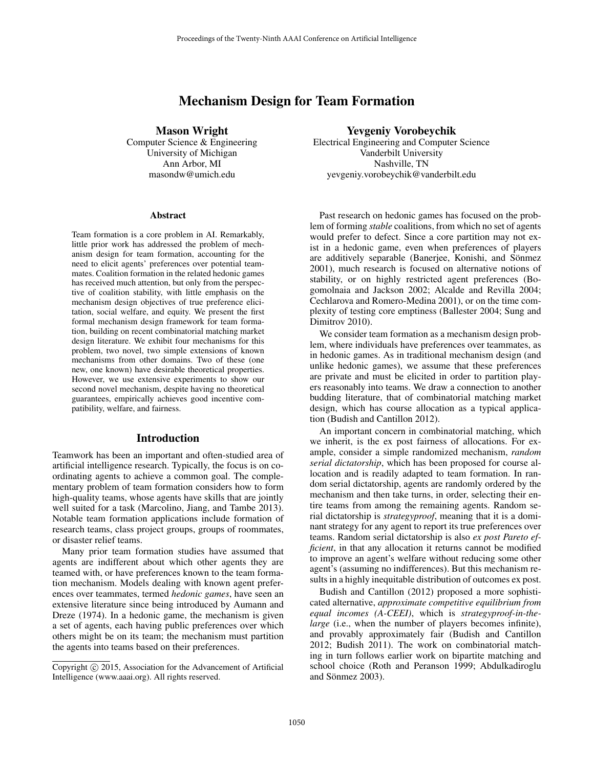# Mechanism Design for Team Formation

Mason Wright

Computer Science & Engineering University of Michigan Ann Arbor, MI masondw@umich.edu

#### **Abstract**

Team formation is a core problem in AI. Remarkably, little prior work has addressed the problem of mechanism design for team formation, accounting for the need to elicit agents' preferences over potential teammates. Coalition formation in the related hedonic games has received much attention, but only from the perspective of coalition stability, with little emphasis on the mechanism design objectives of true preference elicitation, social welfare, and equity. We present the first formal mechanism design framework for team formation, building on recent combinatorial matching market design literature. We exhibit four mechanisms for this problem, two novel, two simple extensions of known mechanisms from other domains. Two of these (one new, one known) have desirable theoretical properties. However, we use extensive experiments to show our second novel mechanism, despite having no theoretical guarantees, empirically achieves good incentive compatibility, welfare, and fairness.

### Introduction

Teamwork has been an important and often-studied area of artificial intelligence research. Typically, the focus is on coordinating agents to achieve a common goal. The complementary problem of team formation considers how to form high-quality teams, whose agents have skills that are jointly well suited for a task (Marcolino, Jiang, and Tambe 2013). Notable team formation applications include formation of research teams, class project groups, groups of roommates, or disaster relief teams.

Many prior team formation studies have assumed that agents are indifferent about which other agents they are teamed with, or have preferences known to the team formation mechanism. Models dealing with known agent preferences over teammates, termed *hedonic games*, have seen an extensive literature since being introduced by Aumann and Dreze (1974). In a hedonic game, the mechanism is given a set of agents, each having public preferences over which others might be on its team; the mechanism must partition the agents into teams based on their preferences.

#### Yevgeniy Vorobeychik

Electrical Engineering and Computer Science Vanderbilt University Nashville, TN yevgeniy.vorobeychik@vanderbilt.edu

Past research on hedonic games has focused on the problem of forming *stable* coalitions, from which no set of agents would prefer to defect. Since a core partition may not exist in a hedonic game, even when preferences of players are additively separable (Banerjee, Konishi, and Sönmez 2001), much research is focused on alternative notions of stability, or on highly restricted agent preferences (Bogomolnaia and Jackson 2002; Alcalde and Revilla 2004; Cechlarova and Romero-Medina 2001), or on the time complexity of testing core emptiness (Ballester 2004; Sung and Dimitrov 2010).

We consider team formation as a mechanism design problem, where individuals have preferences over teammates, as in hedonic games. As in traditional mechanism design (and unlike hedonic games), we assume that these preferences are private and must be elicited in order to partition players reasonably into teams. We draw a connection to another budding literature, that of combinatorial matching market design, which has course allocation as a typical application (Budish and Cantillon 2012).

An important concern in combinatorial matching, which we inherit, is the ex post fairness of allocations. For example, consider a simple randomized mechanism, *random serial dictatorship*, which has been proposed for course allocation and is readily adapted to team formation. In random serial dictatorship, agents are randomly ordered by the mechanism and then take turns, in order, selecting their entire teams from among the remaining agents. Random serial dictatorship is *strategyproof*, meaning that it is a dominant strategy for any agent to report its true preferences over teams. Random serial dictatorship is also *ex post Pareto efficient*, in that any allocation it returns cannot be modified to improve an agent's welfare without reducing some other agent's (assuming no indifferences). But this mechanism results in a highly inequitable distribution of outcomes ex post.

Budish and Cantillon (2012) proposed a more sophisticated alternative, *approximate competitive equilibrium from equal incomes (A-CEEI)*, which is *strategyproof-in-thelarge* (i.e., when the number of players becomes infinite), and provably approximately fair (Budish and Cantillon 2012; Budish 2011). The work on combinatorial matching in turn follows earlier work on bipartite matching and school choice (Roth and Peranson 1999; Abdulkadiroglu and Sönmez 2003).

Copyright © 2015, Association for the Advancement of Artificial Intelligence (www.aaai.org). All rights reserved.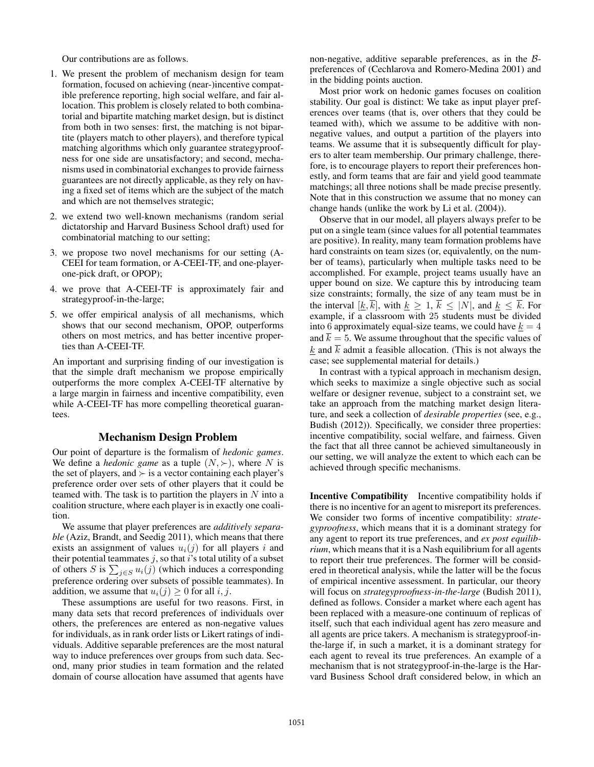Our contributions are as follows.

- 1. We present the problem of mechanism design for team formation, focused on achieving (near-)incentive compatible preference reporting, high social welfare, and fair allocation. This problem is closely related to both combinatorial and bipartite matching market design, but is distinct from both in two senses: first, the matching is not bipartite (players match to other players), and therefore typical matching algorithms which only guarantee strategyproofness for one side are unsatisfactory; and second, mechanisms used in combinatorial exchanges to provide fairness guarantees are not directly applicable, as they rely on having a fixed set of items which are the subject of the match and which are not themselves strategic;
- 2. we extend two well-known mechanisms (random serial dictatorship and Harvard Business School draft) used for combinatorial matching to our setting;
- 3. we propose two novel mechanisms for our setting (A-CEEI for team formation, or A-CEEI-TF, and one-playerone-pick draft, or OPOP);
- 4. we prove that A-CEEI-TF is approximately fair and strategyproof-in-the-large;
- 5. we offer empirical analysis of all mechanisms, which shows that our second mechanism, OPOP, outperforms others on most metrics, and has better incentive properties than A-CEEI-TF.

An important and surprising finding of our investigation is that the simple draft mechanism we propose empirically outperforms the more complex A-CEEI-TF alternative by a large margin in fairness and incentive compatibility, even while A-CEEI-TF has more compelling theoretical guarantees.

#### Mechanism Design Problem

Our point of departure is the formalism of *hedonic games*. We define a *hedonic game* as a tuple  $(N, \succ)$ , where N is the set of players, and  $\succ$  is a vector containing each player's preference order over sets of other players that it could be teamed with. The task is to partition the players in  $N$  into a coalition structure, where each player is in exactly one coalition.

We assume that player preferences are *additively separable* (Aziz, Brandt, and Seedig 2011), which means that there exists an assignment of values  $u_i(j)$  for all players i and their potential teammates  $j$ , so that  $i$ 's total utility of a subset of others S is  $\sum_{j \in S} u_i(j)$  (which induces a corresponding preference ordering over subsets of possible teammates). In addition, we assume that  $u_i(j) \geq 0$  for all i, j.

These assumptions are useful for two reasons. First, in many data sets that record preferences of individuals over others, the preferences are entered as non-negative values for individuals, as in rank order lists or Likert ratings of individuals. Additive separable preferences are the most natural way to induce preferences over groups from such data. Second, many prior studies in team formation and the related domain of course allocation have assumed that agents have

non-negative, additive separable preferences, as in the  $\beta$ preferences of (Cechlarova and Romero-Medina 2001) and in the bidding points auction.

Most prior work on hedonic games focuses on coalition stability. Our goal is distinct: We take as input player preferences over teams (that is, over others that they could be teamed with), which we assume to be additive with nonnegative values, and output a partition of the players into teams. We assume that it is subsequently difficult for players to alter team membership. Our primary challenge, therefore, is to encourage players to report their preferences honestly, and form teams that are fair and yield good teammate matchings; all three notions shall be made precise presently. Note that in this construction we assume that no money can change hands (unlike the work by Li et al. (2004)).

Observe that in our model, all players always prefer to be put on a single team (since values for all potential teammates are positive). In reality, many team formation problems have hard constraints on team sizes (or, equivalently, on the number of teams), particularly when multiple tasks need to be accomplished. For example, project teams usually have an upper bound on size. We capture this by introducing team size constraints; formally, the size of any team must be in the interval  $[\underline{k}, \overline{k}]$ , with  $\underline{k} \geq 1$ ,  $\overline{k} \leq |N|$ , and  $\underline{k} \leq \overline{k}$ . For example, if a classroom with 25 students must be divided into 6 approximately equal-size teams, we could have  $k = 4$ and  $\overline{k} = 5$ . We assume throughout that the specific values of k and  $\overline{k}$  admit a feasible allocation. (This is not always the case; see supplemental material for details.)

In contrast with a typical approach in mechanism design, which seeks to maximize a single objective such as social welfare or designer revenue, subject to a constraint set, we take an approach from the matching market design literature, and seek a collection of *desirable properties* (see, e.g., Budish (2012)). Specifically, we consider three properties: incentive compatibility, social welfare, and fairness. Given the fact that all three cannot be achieved simultaneously in our setting, we will analyze the extent to which each can be achieved through specific mechanisms.

Incentive Compatibility Incentive compatibility holds if there is no incentive for an agent to misreport its preferences. We consider two forms of incentive compatibility: *strategyproofness*, which means that it is a dominant strategy for any agent to report its true preferences, and *ex post equilibrium*, which means that it is a Nash equilibrium for all agents to report their true preferences. The former will be considered in theoretical analysis, while the latter will be the focus of empirical incentive assessment. In particular, our theory will focus on *strategyproofness-in-the-large* (Budish 2011), defined as follows. Consider a market where each agent has been replaced with a measure-one continuum of replicas of itself, such that each individual agent has zero measure and all agents are price takers. A mechanism is strategyproof-inthe-large if, in such a market, it is a dominant strategy for each agent to reveal its true preferences. An example of a mechanism that is not strategyproof-in-the-large is the Harvard Business School draft considered below, in which an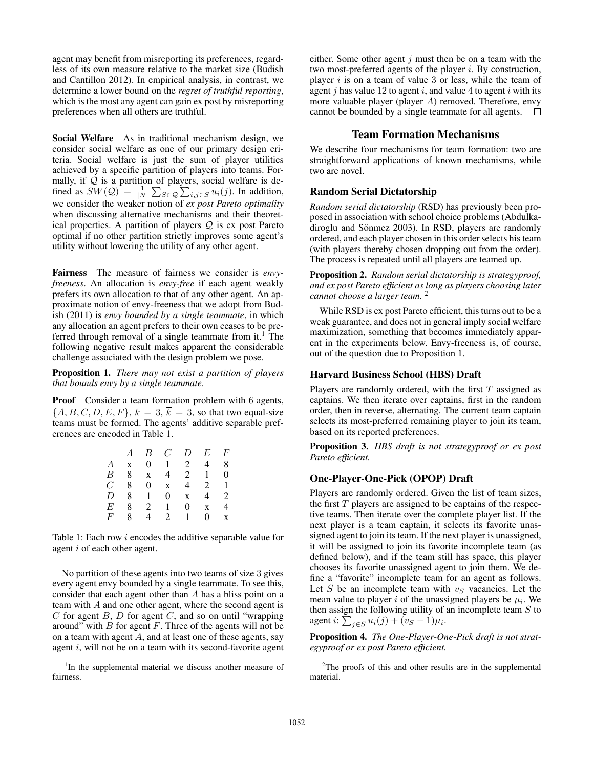agent may benefit from misreporting its preferences, regardless of its own measure relative to the market size (Budish and Cantillon 2012). In empirical analysis, in contrast, we determine a lower bound on the *regret of truthful reporting*, which is the most any agent can gain ex post by misreporting preferences when all others are truthful.

Social Welfare As in traditional mechanism design, we consider social welfare as one of our primary design criteria. Social welfare is just the sum of player utilities achieved by a specific partition of players into teams. Formally, if  $Q$  is a partition of players, social welfare is defined as  $SW(\mathcal{Q}) = \frac{1}{|N|} \sum_{S \in \mathcal{Q}} \sum_{i,j \in S} u_i(j)$ . In addition, we consider the weaker notion of *ex post Pareto optimality* when discussing alternative mechanisms and their theoretical properties. A partition of players  $Q$  is ex post Pareto optimal if no other partition strictly improves some agent's utility without lowering the utility of any other agent.

Fairness The measure of fairness we consider is *envyfreeness*. An allocation is *envy-free* if each agent weakly prefers its own allocation to that of any other agent. An approximate notion of envy-freeness that we adopt from Budish (2011) is *envy bounded by a single teammate*, in which any allocation an agent prefers to their own ceases to be preferred through removal of a single teammate from it.<sup>1</sup> The following negative result makes apparent the considerable challenge associated with the design problem we pose.

Proposition 1. *There may not exist a partition of players that bounds envy by a single teammate.*

Proof Consider a team formation problem with 6 agents,  ${A, B, C, D, E, F}$ ,  $k = 3$ ,  $\overline{k} = 3$ , so that two equal-size teams must be formed. The agents' additive separable preferences are encoded in Table 1.

|  |  | $A$ $B$ $C$ $D$ $E$ $F$                                                                                                                                                                                                                                 |  |
|--|--|---------------------------------------------------------------------------------------------------------------------------------------------------------------------------------------------------------------------------------------------------------|--|
|  |  |                                                                                                                                                                                                                                                         |  |
|  |  |                                                                                                                                                                                                                                                         |  |
|  |  |                                                                                                                                                                                                                                                         |  |
|  |  |                                                                                                                                                                                                                                                         |  |
|  |  |                                                                                                                                                                                                                                                         |  |
|  |  | $\begin{array}{c cccccc} A & X & 0 & 1 & 2 & 4 & 8 \\ \hline A & x & 0 & 1 & 2 & 4 & 8 \\ B & 8 & x & 4 & 2 & 1 & 0 \\ C & 8 & 0 & x & 4 & 2 & 1 \\ D & 8 & 1 & 0 & x & 4 & 2 \\ E & 8 & 2 & 1 & 0 & x & 4 \\ F & 8 & 4 & 2 & 1 & 0 & x \\ \end{array}$ |  |

Table 1: Each row i encodes the additive separable value for agent i of each other agent.

No partition of these agents into two teams of size 3 gives every agent envy bounded by a single teammate. To see this, consider that each agent other than A has a bliss point on a team with A and one other agent, where the second agent is C for agent B, D for agent C, and so on until "wrapping" around" with  $B$  for agent  $F$ . Three of the agents will not be on a team with agent  $A$ , and at least one of these agents, say agent  $i$ , will not be on a team with its second-favorite agent

either. Some other agent  $j$  must then be on a team with the two most-preferred agents of the player  $i$ . By construction, player  $i$  is on a team of value 3 or less, while the team of agent  $j$  has value 12 to agent  $i$ , and value 4 to agent  $i$  with its more valuable player (player A) removed. Therefore, envy cannot be bounded by a single teammate for all agents.  $\Box$ 

## Team Formation Mechanisms

We describe four mechanisms for team formation: two are straightforward applications of known mechanisms, while two are novel.

### Random Serial Dictatorship

*Random serial dictatorship* (RSD) has previously been proposed in association with school choice problems (Abdulkadiroglu and Sönmez 2003). In RSD, players are randomly ordered, and each player chosen in this order selects his team (with players thereby chosen dropping out from the order). The process is repeated until all players are teamed up.

Proposition 2. *Random serial dictatorship is strategyproof, and ex post Pareto efficient as long as players choosing later cannot choose a larger team.* <sup>2</sup>

While RSD is ex post Pareto efficient, this turns out to be a weak guarantee, and does not in general imply social welfare maximization, something that becomes immediately apparent in the experiments below. Envy-freeness is, of course, out of the question due to Proposition 1.

#### Harvard Business School (HBS) Draft

Players are randomly ordered, with the first  $T$  assigned as captains. We then iterate over captains, first in the random order, then in reverse, alternating. The current team captain selects its most-preferred remaining player to join its team, based on its reported preferences.

Proposition 3. *HBS draft is not strategyproof or ex post Pareto efficient.*

### One-Player-One-Pick (OPOP) Draft

Players are randomly ordered. Given the list of team sizes, the first  $T$  players are assigned to be captains of the respective teams. Then iterate over the complete player list. If the next player is a team captain, it selects its favorite unassigned agent to join its team. If the next player is unassigned, it will be assigned to join its favorite incomplete team (as defined below), and if the team still has space, this player chooses its favorite unassigned agent to join them. We define a "favorite" incomplete team for an agent as follows. Let S be an incomplete team with  $v<sub>S</sub>$  vacancies. Let the mean value to player *i* of the unassigned players be  $\mu_i$ . We then assign the following utility of an incomplete team  $S$  to agent  $i: \sum_{j \in S} u_i(j) + (v_S - 1)\mu_i$ .

Proposition 4. *The One-Player-One-Pick draft is not strategyproof or ex post Pareto efficient.*

<sup>&</sup>lt;sup>1</sup>In the supplemental material we discuss another measure of fairness.

<sup>&</sup>lt;sup>2</sup>The proofs of this and other results are in the supplemental material.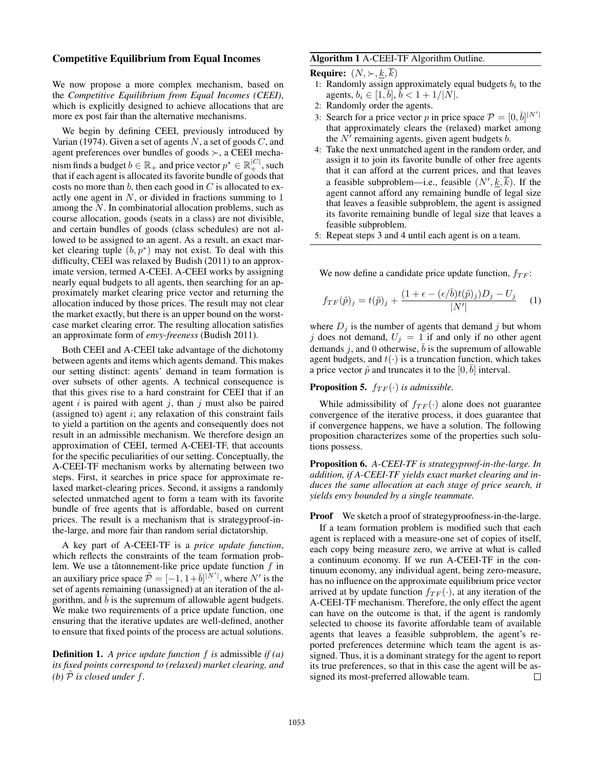#### Competitive Equilibrium from Equal Incomes

We now propose a more complex mechanism, based on the *Competitive Equilibrium from Equal Incomes (CEEI)*, which is explicitly designed to achieve allocations that are more ex post fair than the alternative mechanisms.

We begin by defining CEEI, previously introduced by Varian (1974). Given a set of agents  $N$ , a set of goods  $C$ , and agent preferences over bundles of goods  $\succ$ , a CEEI mechanism finds a budget  $b \in \mathbb{R}_+$  and price vector  $p^* \in \mathbb{R}_+^{|C|}$ , such that if each agent is allocated its favorite bundle of goods that costs no more than  $b$ , then each good in  $C$  is allocated to exactly one agent in  $N$ , or divided in fractions summing to  $1$ among the N. In combinatorial allocation problems, such as course allocation, goods (seats in a class) are not divisible, and certain bundles of goods (class schedules) are not allowed to be assigned to an agent. As a result, an exact market clearing tuple  $(b, p^*)$  may not exist. To deal with this difficulty, CEEI was relaxed by Budish (2011) to an approximate version, termed A-CEEI. A-CEEI works by assigning nearly equal budgets to all agents, then searching for an approximately market clearing price vector and returning the allocation induced by those prices. The result may not clear the market exactly, but there is an upper bound on the worstcase market clearing error. The resulting allocation satisfies an approximate form of *envy-freeness* (Budish 2011).

Both CEEI and A-CEEI take advantage of the dichotomy between agents and items which agents demand. This makes our setting distinct: agents' demand in team formation is over subsets of other agents. A technical consequence is that this gives rise to a hard constraint for CEEI that if an agent i is paired with agent j, than j must also be paired (assigned to) agent  $i$ ; any relaxation of this constraint fails to yield a partition on the agents and consequently does not result in an admissible mechanism. We therefore design an approximation of CEEI, termed A-CEEI-TF, that accounts for the specific peculiarities of our setting. Conceptually, the A-CEEI-TF mechanism works by alternating between two steps. First, it searches in price space for approximate relaxed market-clearing prices. Second, it assigns a randomly selected unmatched agent to form a team with its favorite bundle of free agents that is affordable, based on current prices. The result is a mechanism that is strategyproof-inthe-large, and more fair than random serial dictatorship.

A key part of A-CEEI-TF is a *price update function*, which reflects the constraints of the team formation problem. We use a tâtonnement-like price update function  $f$  in an auxiliary price space  $\tilde{\mathcal{P}} = [-1, 1+\overline{b}]^{\vert N'\vert}$ , where  $N'$  is the set of agents remaining (unassigned) at an iteration of the algorithm, and  $b$  is the supremum of allowable agent budgets. We make two requirements of a price update function, one ensuring that the iterative updates are well-defined, another to ensure that fixed points of the process are actual solutions.

Definition 1. *A price update function* f *is* admissible *if (a) its fixed points correspond to (relaxed) market clearing, and (b)*  $\tilde{P}$  *is closed under*  $f$ *.* 

### Algorithm 1 A-CEEI-TF Algorithm Outline.

**Require:**  $(N, \succ, k, \overline{k})$ 

- 1: Randomly assign approximately equal budgets  $b_i$  to the agents,  $b_i \in [1, \bar{b}], \, \bar{b} < 1 + 1/|\dot{N}|.$
- 2: Randomly order the agents.
- 3: Search for a price vector p in price space  $\mathcal{P} = [0, \bar{b}]^{|N'|}$ that approximately clears the (relaxed) market among the  $N'$  remaining agents, given agent budgets b.
- 4: Take the next unmatched agent in the random order, and assign it to join its favorite bundle of other free agents that it can afford at the current prices, and that leaves a feasible subproblem—i.e., feasible  $(N', \underline{k}, \overline{k})$ . If the agent cannot afford any remaining bundle of legal size that leaves a feasible subproblem, the agent is assigned its favorite remaining bundle of legal size that leaves a feasible subproblem.
- 5: Repeat steps 3 and 4 until each agent is on a team.

We now define a candidate price update function,  $f_{TF}$ :

$$
f_{TF}(\tilde{p})_j = t(\tilde{p})_j + \frac{(1 + \epsilon - (\epsilon/\bar{b})t(\tilde{p})_j)D_j - U_j}{|N'|} \tag{1}
$$

where  $D_j$  is the number of agents that demand j but whom j does not demand,  $U_j = 1$  if and only if no other agent demands j, and 0 otherwise,  $\overline{b}$  is the supremum of allowable agent budgets, and  $t(\cdot)$  is a truncation function, which takes a price vector  $\tilde{p}$  and truncates it to the  $[0, \bar{b}]$  interval.

**Proposition 5.**  $f_{TF}(\cdot)$  *is admissible.* 

While admissibility of  $f_{TF}(\cdot)$  alone does not guarantee convergence of the iterative process, it does guarantee that if convergence happens, we have a solution. The following proposition characterizes some of the properties such solutions possess.

Proposition 6. *A-CEEI-TF is strategyproof-in-the-large. In addition, if A-CEEI-TF yields exact market clearing and induces the same allocation at each stage of price search, it yields envy bounded by a single teammate.*

Proof We sketch a proof of strategyproofness-in-the-large.

If a team formation problem is modified such that each agent is replaced with a measure-one set of copies of itself, each copy being measure zero, we arrive at what is called a continuum economy. If we run A-CEEI-TF in the continuum economy, any individual agent, being zero-measure, has no influence on the approximate equilibrium price vector arrived at by update function  $f_{TF}(\cdot)$ , at any iteration of the A-CEEI-TF mechanism. Therefore, the only effect the agent can have on the outcome is that, if the agent is randomly selected to choose its favorite affordable team of available agents that leaves a feasible subproblem, the agent's reported preferences determine which team the agent is assigned. Thus, it is a dominant strategy for the agent to report its true preferences, so that in this case the agent will be assigned its most-preferred allowable team.  $\Box$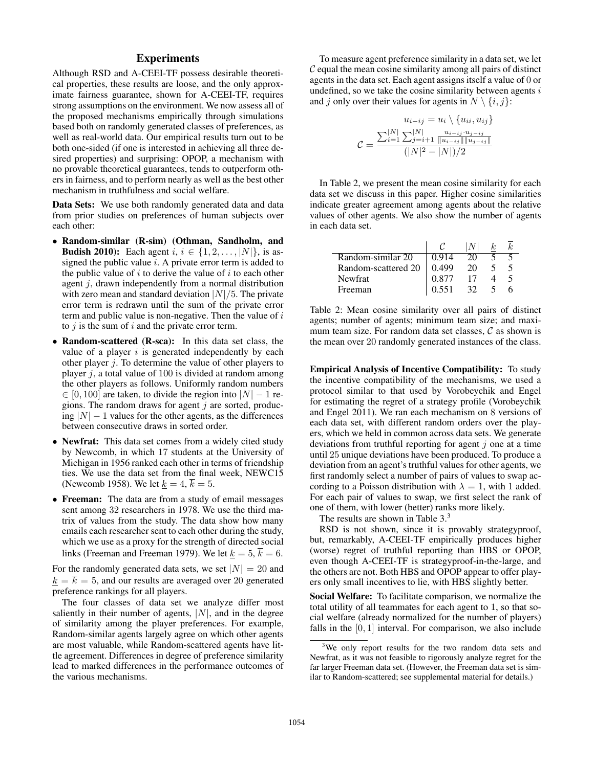## Experiments

Although RSD and A-CEEI-TF possess desirable theoretical properties, these results are loose, and the only approximate fairness guarantee, shown for A-CEEI-TF, requires strong assumptions on the environment. We now assess all of the proposed mechanisms empirically through simulations based both on randomly generated classes of preferences, as well as real-world data. Our empirical results turn out to be both one-sided (if one is interested in achieving all three desired properties) and surprising: OPOP, a mechanism with no provable theoretical guarantees, tends to outperform others in fairness, and to perform nearly as well as the best other mechanism in truthfulness and social welfare.

Data Sets: We use both randomly generated data and data from prior studies on preferences of human subjects over each other:

- Random-similar (R-sim) (Othman, Sandholm, and **Budish 2010):** Each agent  $i, i \in \{1, 2, ..., |N|\}$ , is assigned the public value  $i$ . A private error term is added to the public value of  $i$  to derive the value of  $i$  to each other agent  $j$ , drawn independently from a normal distribution with zero mean and standard deviation  $|N|/5$ . The private error term is redrawn until the sum of the private error term and public value is non-negative. Then the value of  $i$ to  $j$  is the sum of  $i$  and the private error term.
- Random-scattered (R-sca): In this data set class, the value of a player  $i$  is generated independently by each other player  $j$ . To determine the value of other players to player  $j$ , a total value of 100 is divided at random among the other players as follows. Uniformly random numbers  $\in [0, 100]$  are taken, to divide the region into  $|N| - 1$  regions. The random draws for agent  $j$  are sorted, producing  $|N| - 1$  values for the other agents, as the differences between consecutive draws in sorted order.
- Newfrat: This data set comes from a widely cited study by Newcomb, in which 17 students at the University of Michigan in 1956 ranked each other in terms of friendship ties. We use the data set from the final week, NEWC15 (Newcomb 1958). We let  $\underline{k} = 4$ ,  $\overline{k} = 5$ .
- Freeman: The data are from a study of email messages sent among 32 researchers in 1978. We use the third matrix of values from the study. The data show how many emails each researcher sent to each other during the study, which we use as a proxy for the strength of directed social links (Freeman and Freeman 1979). We let  $k = 5$ ,  $\overline{k} = 6$ .

For the randomly generated data sets, we set  $|N| = 20$  and  $k = \overline{k} = 5$ , and our results are averaged over 20 generated preference rankings for all players.

The four classes of data set we analyze differ most saliently in their number of agents,  $|N|$ , and in the degree of similarity among the player preferences. For example, Random-similar agents largely agree on which other agents are most valuable, while Random-scattered agents have little agreement. Differences in degree of preference similarity lead to marked differences in the performance outcomes of the various mechanisms.

To measure agent preference similarity in a data set, we let  $C$  equal the mean cosine similarity among all pairs of distinct agents in the data set. Each agent assigns itself a value of 0 or undefined, so we take the cosine similarity between agents  $i$ and j only over their values for agents in  $N \setminus \{i, j\}$ :

$$
u_{i-ij} = u_i \setminus \{u_{ii}, u_{ij}\}
$$

$$
\mathcal{C} = \frac{\sum_{i=1}^{|N|} \sum_{j=i+1}^{|N|} \frac{u_{i-ij} \cdot u_{j-ij}}{\|u_{i-ij}\| \|u_{j-ij}\|}}{(|N|^2 - |N|)/2}
$$

In Table 2, we present the mean cosine similarity for each data set we discuss in this paper. Higher cosine similarities indicate greater agreement among agents about the relative values of other agents. We also show the number of agents in each data set.

| Random-similar 20   | 0.914 | 20 |  |
|---------------------|-------|----|--|
| Random-scattered 20 | 0.499 | 20 |  |
| Newfrat             | 0.877 |    |  |
| Freeman             | 0.551 |    |  |

Table 2: Mean cosine similarity over all pairs of distinct agents; number of agents; minimum team size; and maximum team size. For random data set classes,  $C$  as shown is the mean over 20 randomly generated instances of the class.

Empirical Analysis of Incentive Compatibility: To study the incentive compatibility of the mechanisms, we used a protocol similar to that used by Vorobeychik and Engel for estimating the regret of a strategy profile (Vorobeychik and Engel 2011). We ran each mechanism on 8 versions of each data set, with different random orders over the players, which we held in common across data sets. We generate deviations from truthful reporting for agent  $j$  one at a time until 25 unique deviations have been produced. To produce a deviation from an agent's truthful values for other agents, we first randomly select a number of pairs of values to swap according to a Poisson distribution with  $\lambda = 1$ , with 1 added. For each pair of values to swap, we first select the rank of one of them, with lower (better) ranks more likely.

The results are shown in Table 3.<sup>3</sup>

RSD is not shown, since it is provably strategyproof, but, remarkably, A-CEEI-TF empirically produces higher (worse) regret of truthful reporting than HBS or OPOP, even though A-CEEI-TF is strategyproof-in-the-large, and the others are not. Both HBS and OPOP appear to offer players only small incentives to lie, with HBS slightly better.

Social Welfare: To facilitate comparison, we normalize the total utility of all teammates for each agent to 1, so that social welfare (already normalized for the number of players) falls in the  $[0, 1]$  interval. For comparison, we also include

<sup>&</sup>lt;sup>3</sup>We only report results for the two random data sets and Newfrat, as it was not feasible to rigorously analyze regret for the far larger Freeman data set. (However, the Freeman data set is similar to Random-scattered; see supplemental material for details.)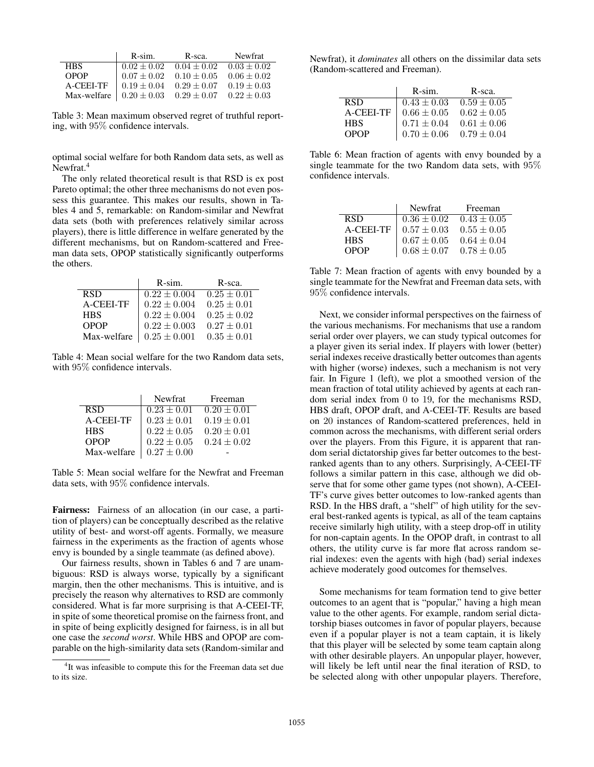|             | $R-sim.$        | R-sca.          | Newfrat       |
|-------------|-----------------|-----------------|---------------|
| <b>HBS</b>  | $0.02 \pm 0.02$ | $0.04 + 0.02$   | $0.03 + 0.02$ |
| <b>OPOP</b> | $0.07 + 0.02$   | $0.10 + 0.05$   | $0.06 + 0.02$ |
| A-CEEI-TF   | $0.19 + 0.04$   | $0.29 + 0.07$   | $0.19 + 0.03$ |
| Max-welfare | $0.20 \pm 0.03$ | $0.29 \pm 0.07$ | $0.22 + 0.03$ |

Table 3: Mean maximum observed regret of truthful reporting, with 95% confidence intervals.

optimal social welfare for both Random data sets, as well as Newfrat.<sup>4</sup>

The only related theoretical result is that RSD is ex post Pareto optimal; the other three mechanisms do not even possess this guarantee. This makes our results, shown in Tables 4 and 5, remarkable: on Random-similar and Newfrat data sets (both with preferences relatively similar across players), there is little difference in welfare generated by the different mechanisms, but on Random-scattered and Freeman data sets, OPOP statistically significantly outperforms the others.

|             | R-sim.           | R-sca.          |
|-------------|------------------|-----------------|
| <b>RSD</b>  | $0.22 \pm 0.004$ | $0.25 \pm 0.01$ |
| A-CEEL-TF   | $0.22 \pm 0.004$ | $0.25 \pm 0.01$ |
| <b>HBS</b>  | $0.22 \pm 0.004$ | $0.25 \pm 0.02$ |
| OPOP        | $0.22 \pm 0.003$ | $0.27 \pm 0.01$ |
| Max-welfare | $0.25 \pm 0.001$ | $0.35 \pm 0.01$ |

Table 4: Mean social welfare for the two Random data sets, with 95% confidence intervals.

|             | Newfrat         | Freeman         |
|-------------|-----------------|-----------------|
| <b>RSD</b>  | $0.23 \pm 0.01$ | $0.20 \pm 0.01$ |
| A-CEEI-TF   | $0.23 \pm 0.01$ | $0.19 \pm 0.01$ |
| <b>HBS</b>  | $0.22 \pm 0.05$ | $0.20 \pm 0.01$ |
| <b>OPOP</b> | $0.22 \pm 0.05$ | $0.24 \pm 0.02$ |
| Max-welfare | $0.27 \pm 0.00$ |                 |

Table 5: Mean social welfare for the Newfrat and Freeman data sets, with 95% confidence intervals.

Fairness: Fairness of an allocation (in our case, a partition of players) can be conceptually described as the relative utility of best- and worst-off agents. Formally, we measure fairness in the experiments as the fraction of agents whose envy is bounded by a single teammate (as defined above).

Our fairness results, shown in Tables 6 and 7 are unambiguous: RSD is always worse, typically by a significant margin, then the other mechanisms. This is intuitive, and is precisely the reason why alternatives to RSD are commonly considered. What is far more surprising is that A-CEEI-TF, in spite of some theoretical promise on the fairness front, and in spite of being explicitly designed for fairness, is in all but one case the *second worst*. While HBS and OPOP are comparable on the high-similarity data sets (Random-similar and

Newfrat), it *dominates* all others on the dissimilar data sets (Random-scattered and Freeman).

|             | $R-sim.$        | R-sca.                          |
|-------------|-----------------|---------------------------------|
| <b>RSD</b>  | $0.43 \pm 0.03$ | $0.59 \pm 0.05$                 |
| A-CEEI-TF   |                 | $0.66 \pm 0.05$ $0.62 \pm 0.05$ |
| <b>HBS</b>  | $0.71 \pm 0.04$ | $0.61 \pm 0.06$                 |
| <b>OPOP</b> | $0.70 \pm 0.06$ | $0.79 \pm 0.04$                 |

Table 6: Mean fraction of agents with envy bounded by a single teammate for the two Random data sets, with 95% confidence intervals.

|             | Newfrat                    | Freeman         |
|-------------|----------------------------|-----------------|
| <b>RSD</b>  | $\overline{0.36} \pm 0.02$ | $0.43 \pm 0.05$ |
| A-CEEI-TF   | $0.57 \pm 0.03$            | $0.55 \pm 0.05$ |
| <b>HBS</b>  | $0.67\pm0.05$              | $0.64 \pm 0.04$ |
| <b>OPOP</b> | $0.68 \pm 0.07$            | $0.78 \pm 0.05$ |

Table 7: Mean fraction of agents with envy bounded by a single teammate for the Newfrat and Freeman data sets, with 95% confidence intervals.

Next, we consider informal perspectives on the fairness of the various mechanisms. For mechanisms that use a random serial order over players, we can study typical outcomes for a player given its serial index. If players with lower (better) serial indexes receive drastically better outcomes than agents with higher (worse) indexes, such a mechanism is not very fair. In Figure 1 (left), we plot a smoothed version of the mean fraction of total utility achieved by agents at each random serial index from 0 to 19, for the mechanisms RSD, HBS draft, OPOP draft, and A-CEEI-TF. Results are based on 20 instances of Random-scattered preferences, held in common across the mechanisms, with different serial orders over the players. From this Figure, it is apparent that random serial dictatorship gives far better outcomes to the bestranked agents than to any others. Surprisingly, A-CEEI-TF follows a similar pattern in this case, although we did observe that for some other game types (not shown), A-CEEI-TF's curve gives better outcomes to low-ranked agents than RSD. In the HBS draft, a "shelf" of high utility for the several best-ranked agents is typical, as all of the team captains receive similarly high utility, with a steep drop-off in utility for non-captain agents. In the OPOP draft, in contrast to all others, the utility curve is far more flat across random serial indexes: even the agents with high (bad) serial indexes achieve moderately good outcomes for themselves.

Some mechanisms for team formation tend to give better outcomes to an agent that is "popular," having a high mean value to the other agents. For example, random serial dictatorship biases outcomes in favor of popular players, because even if a popular player is not a team captain, it is likely that this player will be selected by some team captain along with other desirable players. An unpopular player, however, will likely be left until near the final iteration of RSD, to be selected along with other unpopular players. Therefore,

<sup>&</sup>lt;sup>4</sup>It was infeasible to compute this for the Freeman data set due to its size.